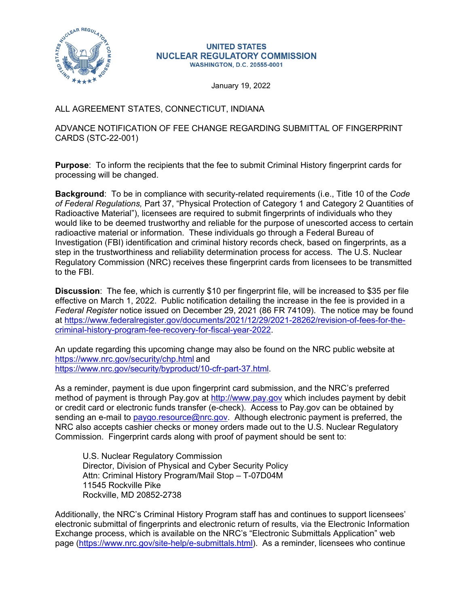

## **UNITED STATES NUCLEAR REGULATORY COMMISSION WASHINGTON, D.C. 20555-0001**

January 19, 2022

## ALL AGREEMENT STATES, CONNECTICUT, INDIANA

ADVANCE NOTIFICATION OF FEE CHANGE REGARDING SUBMITTAL OF FINGERPRINT CARDS (STC-22-001)

**Purpose**: To inform the recipients that the fee to submit Criminal History fingerprint cards for processing will be changed.

**Background**: To be in compliance with security-related requirements (i.e., Title 10 of the *Code of Federal Regulations,* Part 37, "Physical Protection of Category 1 and Category 2 Quantities of Radioactive Material"), licensees are required to submit fingerprints of individuals who they would like to be deemed trustworthy and reliable for the purpose of unescorted access to certain radioactive material or information. These individuals go through a Federal Bureau of Investigation (FBI) identification and criminal history records check, based on fingerprints, as a step in the trustworthiness and reliability determination process for access. The U.S. Nuclear Regulatory Commission (NRC) receives these fingerprint cards from licensees to be transmitted to the FBI.

**Discussion**: The fee, which is currently \$10 per fingerprint file, will be increased to \$35 per file effective on March 1, 2022. Public notification detailing the increase in the fee is provided in a *Federal Register* notice issued on December 29, 2021 (86 FR 74109). The notice may be found at [https://www.federalregister.gov/documents/2021/12/29/2021-28262/revision-of-fees-for-the](https://www.federalregister.gov/documents/2021/12/29/2021-28262/revision-of-fees-for-the-criminal-history-program-fee-recovery-for-fiscal-year-2022)[criminal-history-program-fee-recovery-for-fiscal-year-2022.](https://www.federalregister.gov/documents/2021/12/29/2021-28262/revision-of-fees-for-the-criminal-history-program-fee-recovery-for-fiscal-year-2022)

An update regarding this upcoming change may also be found on the NRC public website at <https://www.nrc.gov/security/chp.html> and [https://www.nrc.gov/security/byproduct/10-cfr-part-37.html.](https://www.nrc.gov/security/byproduct/10-cfr-part-37.html)

As a reminder, payment is due upon fingerprint card submission, and the NRC's preferred method of payment is through Pay.gov at <http://www.pay.gov>which includes payment by debit or credit card or electronic funds transfer (e-check). Access to Pay.gov can be obtained by sending an e-mail to [paygo.resource@nrc.gov](mailto:paygo.resource@nrc.gov). Although electronic payment is preferred, the NRC also accepts cashier checks or money orders made out to the U.S. Nuclear Regulatory Commission. Fingerprint cards along with proof of payment should be sent to:

U.S. Nuclear Regulatory Commission Director, Division of Physical and Cyber Security Policy Attn: Criminal History Program/Mail Stop – T-07D04M 11545 Rockville Pike Rockville, MD 20852-2738

Additionally, the NRC's Criminal History Program staff has and continues to support licensees' electronic submittal of fingerprints and electronic return of results, via the Electronic Information Exchange process, which is available on the NRC's "Electronic Submittals Application" web page [\(https://www.nrc.gov/site-help/e-submittals.html\)](https://www.nrc.gov/site-help/e-submittals.html). As a reminder, licensees who continue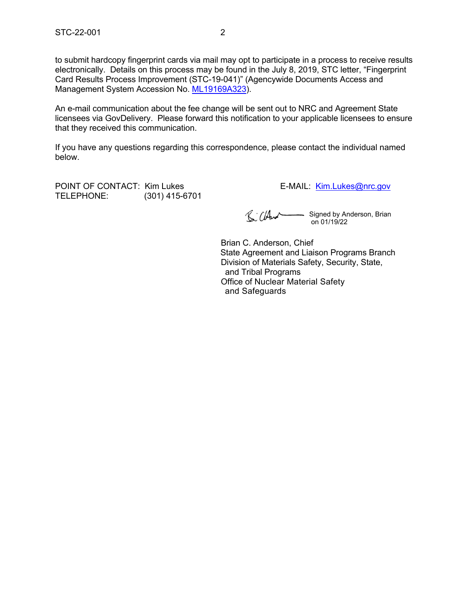to submit hardcopy fingerprint cards via mail may opt to participate in a process to receive results electronically. Details on this process may be found in the July 8, 2019, STC letter, "Fingerprint Card Results Process Improvement (STC-19-041)" (Agencywide Documents Access and Management System Accession No. [ML19169A323\)](https://adamswebsearch2.nrc.gov/webSearch2/main.jsp?AccessionNumber=ML19169A323).

An e-mail communication about the fee change will be sent out to NRC and Agreement State licensees via GovDelivery. Please forward this notification to your applicable licensees to ensure that they received this communication.

If you have any questions regarding this correspondence, please contact the individual named below.

POINT OF CONTACT: Kim Lukes E-MAIL: Kim.Lukes@nrc.gov TELEPHONE: (301) 415-6701

Signed by Anderson, Brian on 01/19/22

 Brian C. Anderson, Chief State Agreement and Liaison Programs Branch Division of Materials Safety, Security, State, and Tribal Programs Office of Nuclear Material Safety and Safeguards